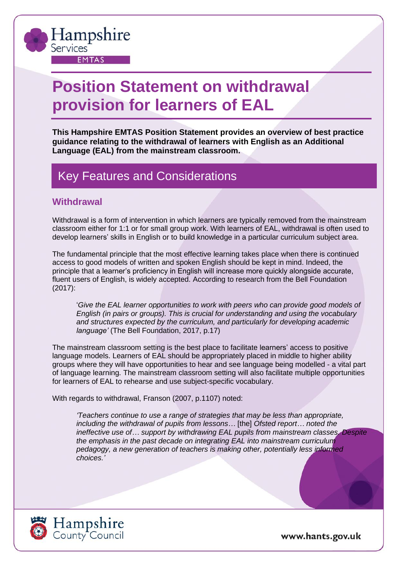

# **Position Statement on withdrawal provision for learners of EAL**

**This Hampshire EMTAS Position Statement provides an overview of best practice guidance relating to the withdrawal of learners with English as an Additional Language (EAL) from the mainstream classroom.**

## Key Features and Considerations

### **Withdrawal**

Withdrawal is a form of intervention in which learners are typically removed from the mainstream classroom either for 1:1 or for small group work. With learners of EAL, withdrawal is often used to develop learners' skills in English or to build knowledge in a particular curriculum subject area.

The fundamental principle that the most effective learning takes place when there is continued access to good models of written and spoken English should be kept in mind. Indeed, the principle that a learner's proficiency in English will increase more quickly alongside accurate, fluent users of English, is widely accepted. According to research from the Bell Foundation (2017):

'*Give the EAL learner opportunities to work with peers who can provide good models of English (in pairs or groups). This is crucial for understanding and using the vocabulary and structures expected by the curriculum, and particularly for developing academic language'* (The Bell Foundation, 2017, p.17)

The mainstream classroom setting is the best place to facilitate learners' access to positive language models. Learners of EAL should be appropriately placed in middle to higher ability groups where they will have opportunities to hear and see language being modelled - a vital part of language learning. The mainstream classroom setting will also facilitate multiple opportunities for learners of EAL to rehearse and use subject-specific vocabulary.

With regards to withdrawal, Franson (2007, p.1107) noted:

*'Teachers continue to use a range of strategies that may be less than appropriate, including the withdrawal of pupils from lessons…* [the] *Ofsted report… noted the ineffective use of… support by withdrawing EAL pupils from mainstream classes. Despite the emphasis in the past decade on integrating EAL into mainstream curriculum pedagogy, a new generation of teachers is making other, potentially less informed choices.'*

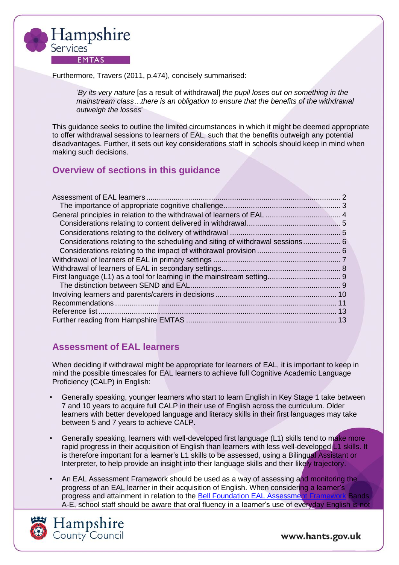

Furthermore, Travers (2011, p.474), concisely summarised:

'*By its very nature* [as a result of withdrawal] *the pupil loses out on something in the mainstream class…there is an obligation to ensure that the benefits of the withdrawal outweigh the losses*'

This guidance seeks to outline the limited circumstances in which it might be deemed appropriate to offer withdrawal sessions to learners of EAL, such that the benefits outweigh any potential disadvantages. Further, it sets out key considerations staff in schools should keep in mind when making such decisions.

### **Overview of sections in this guidance**

| Considerations relating to the scheduling and siting of withdrawal sessions 6 |  |
|-------------------------------------------------------------------------------|--|
|                                                                               |  |
|                                                                               |  |
|                                                                               |  |
|                                                                               |  |
|                                                                               |  |
|                                                                               |  |
|                                                                               |  |
|                                                                               |  |
|                                                                               |  |

### <span id="page-1-0"></span>**Assessment of EAL learners**

When deciding if withdrawal might be appropriate for learners of EAL, it is important to keep in mind the possible timescales for EAL learners to achieve full Cognitive Academic Language Proficiency (CALP) in English:

- Generally speaking, younger learners who start to learn English in Key Stage 1 take between 7 and 10 years to acquire full CALP in their use of English across the curriculum. Older learners with better developed language and literacy skills in their first languages may take between 5 and 7 years to achieve CALP.
- Generally speaking, learners with well-developed first language (L1) skills tend to make more rapid progress in their acquisition of English than learners with less well-developed L1 skills. It is therefore important for a learner's L1 skills to be assessed, using a Bilingual Assistant or Interpreter, to help provide an insight into their language skills and their likely trajectory.
- An EAL Assessment Framework should be used as a way of assessing and monitoring the progress of an EAL learner in their acquisition of English. When considering a learner's progress and attainment in relation to the [Bell Foundation EAL Assessment Framework](https://www.bell-foundation.org.uk/eal-programme/teaching-resources/eal-assessment-framework/) Bands A-E, school staff should be aware that oral fluency in a learner's use of everyday English is not

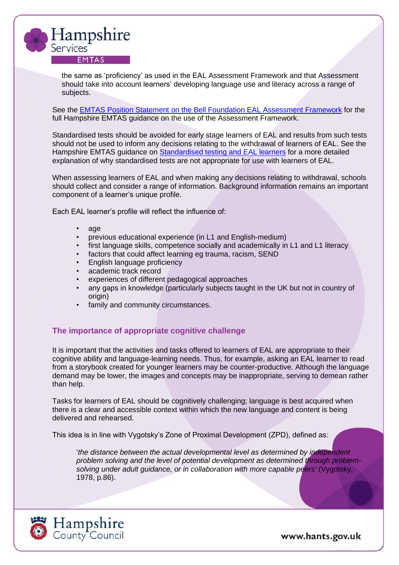

the same as 'proficiency' as used in the EAL Assessment Framework and that Assessment should take into account learners' developing language use and literacy across a range of subjects.

See the EMTAS Position Statement on the Bell Foundation EAL [Assessment](https://documents.hants.gov.uk/education/EMTASPositionStatementEALAssessmentFramework2018-11-20.pdf) Framework for the full Hampshire EMTAS guidance on the use of the Assessment Framework.

Standardised tests should be avoided for early stage learners of EAL and results from such tests should not be used to inform any decisions relating to the withdrawal of learners of EAL. See the Hampshire EMTAS guidance on [Standardised testing and EAL learners](https://www.hants.gov.uk/educationandlearning/emtas/assessment-and-send/standardised-testing-and-eal) for a more detailed explanation of why standardised tests are not appropriate for use with learners of EAL.

When assessing learners of EAL and when making any decisions relating to withdrawal, schools should collect and consider a range of information. Background information remains an important component of a learner's unique profile.

Each EAL learner's profile will reflect the influence of:

- age
- previous educational experience (in L1 and English-medium)
- first language skills, competence socially and academically in L1 and L1 literacy
- factors that could affect learning eg trauma, racism, SEND
- English language proficiency
- academic track record
- experiences of different pedagogical approaches
- any gaps in knowledge (particularly subjects taught in the UK but not in country of origin)
- family and community circumstances.

#### <span id="page-2-0"></span>**The importance of appropriate cognitive challenge**

It is important that the activities and tasks offered to learners of EAL are appropriate to their cognitive ability and language-learning needs. Thus, for example, asking an EAL learner to read from a storybook created for younger learners may be counter-productive. Although the language demand may be lower, the images and concepts may be inappropriate, serving to demean rather than help.

Tasks for learners of EAL should be cognitively challenging; language is best acquired when there is a clear and accessible context within which the new language and content is being delivered and rehearsed.

This idea is in line with Vygotsky's Zone of Proximal Development (ZPD), defined as:

'*the distance between the actual developmental level as determined by independent problem solving and the level of potential development as determined through problemsolving under adult guidance, or in collaboration with more capable peers*' (Vygotsky, 1978, p.86).

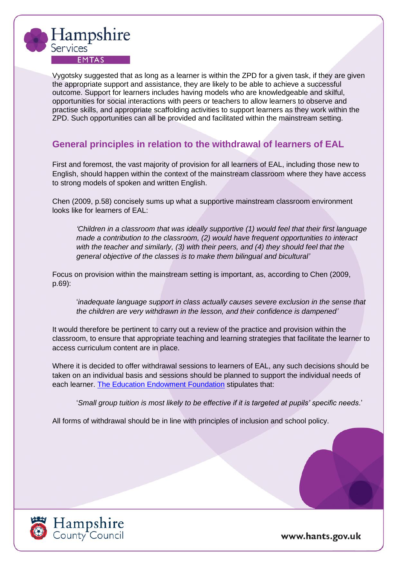

Vygotsky suggested that as long as a learner is within the ZPD for a given task, if they are given the appropriate support and assistance, they are likely to be able to achieve a successful outcome. Support for learners includes having models who are knowledgeable and skilful, opportunities for social interactions with peers or teachers to allow learners to observe and practise skills, and appropriate scaffolding activities to support learners as they work within the ZPD. Such opportunities can all be provided and facilitated within the mainstream setting.

### <span id="page-3-0"></span>**General principles in relation to the withdrawal of learners of EAL**

First and foremost, the vast majority of provision for all learners of EAL, including those new to English, should happen within the context of the mainstream classroom where they have access to strong models of spoken and written English.

Chen (2009, p.58) concisely sums up what a supportive mainstream classroom environment looks like for learners of EAL:

*'Children in a classroom that was ideally supportive (1) would feel that their first language made a contribution to the classroom, (2) would have frequent opportunities to interact with the teacher and similarly, (3) with their peers, and (4) they should feel that the general objective of the classes is to make them bilingual and bicultural'*

Focus on provision within the mainstream setting is important, as, according to Chen (2009, p.69):

'*inadequate language support in class actually causes severe exclusion in the sense that the children are very withdrawn in the lesson, and their confidence is dampened'*

It would therefore be pertinent to carry out a review of the practice and provision within the classroom, to ensure that appropriate teaching and learning strategies that facilitate the learner to access curriculum content are in place.

Where it is decided to offer withdrawal sessions to learners of EAL, any such decisions should be taken on an individual basis and sessions should be planned to support the individual needs of each learner. [The Education Endowment Foundation](https://educationendowmentfoundation.org.uk/education-evidence/teaching-learning-toolkit/small-group-tuition#:~:text=Small%20group%20tuition%20is%20most,targeted%20at%20pupils%27%20specific%20needs.&text=One%20to%20one%20tuition%20and,this%20approach%20may%20be%20worthwhile.) stipulates that:

'*Small group tuition is most likely to be effective if it is targeted at pupils' specific needs*.'

All forms of withdrawal should be in line with principles of inclusion and school policy.

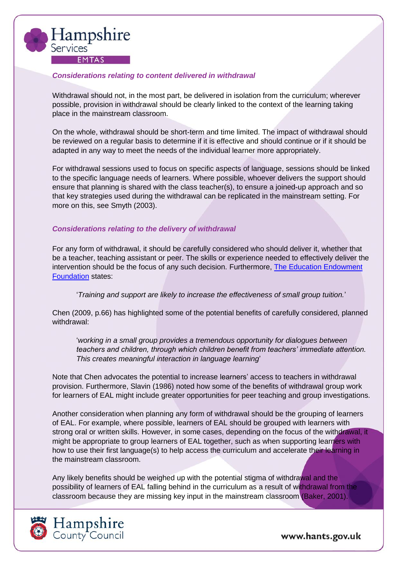

#### <span id="page-4-0"></span>*Considerations relating to content delivered in withdrawal*

Withdrawal should not, in the most part, be delivered in isolation from the curriculum; wherever possible, provision in withdrawal should be clearly linked to the context of the learning taking place in the mainstream classroom.

On the whole, withdrawal should be short-term and time limited. The impact of withdrawal should be reviewed on a regular basis to determine if it is effective and should continue or if it should be adapted in any way to meet the needs of the individual learner more appropriately.

For withdrawal sessions used to focus on specific aspects of language, sessions should be linked to the specific language needs of learners. Where possible, whoever delivers the support should ensure that planning is shared with the class teacher(s), to ensure a joined-up approach and so that key strategies used during the withdrawal can be replicated in the mainstream setting. For more on this, see Smyth (2003).

#### <span id="page-4-1"></span>*Considerations relating to the delivery of withdrawal*

For any form of withdrawal, it should be carefully considered who should deliver it, whether that be a teacher, teaching assistant or peer. The skills or experience needed to effectively deliver the intervention should be the focus of any such decision. Furthermore, [The Education Endowment](https://educationendowmentfoundation.org.uk/education-evidence/teaching-learning-toolkit/small-group-tuition#:~:text=Small%20group%20tuition%20is%20most,targeted%20at%20pupils%27%20specific%20needs.&text=One%20to%20one%20tuition%20and,this%20approach%20may%20be%20worthwhile.)  [Foundation](https://educationendowmentfoundation.org.uk/education-evidence/teaching-learning-toolkit/small-group-tuition#:~:text=Small%20group%20tuition%20is%20most,targeted%20at%20pupils%27%20specific%20needs.&text=One%20to%20one%20tuition%20and,this%20approach%20may%20be%20worthwhile.) states:

'*Training and support are likely to increase the effectiveness of small group tuition.*'

Chen (2009, p.66) has highlighted some of the potential benefits of carefully considered, planned withdrawal:

'*working in a small group provides a tremendous opportunity for dialogues between teachers and children, through which children benefit from teachers' immediate attention. This creates meaningful interaction in language learning*'

Note that Chen advocates the potential to increase learners' access to teachers in withdrawal provision. Furthermore, Slavin (1986) noted how some of the benefits of withdrawal group work for learners of EAL might include greater opportunities for peer teaching and group investigations.

Another consideration when planning any form of withdrawal should be the grouping of learners of EAL. For example, where possible, learners of EAL should be grouped with learners with strong oral or written skills. However, in some cases, depending on the focus of the withdrawal, it might be appropriate to group learners of EAL together, such as when supporting learners with how to use their first language(s) to help access the curriculum and accelerate their learning in the mainstream classroom.

Any likely benefits should be weighed up with the potential stigma of withdrawal and the possibility of learners of EAL falling behind in the curriculum as a result of withdrawal from the classroom because they are missing key input in the mainstream classroom (Baker, 2001).



Hampshire<br>County Council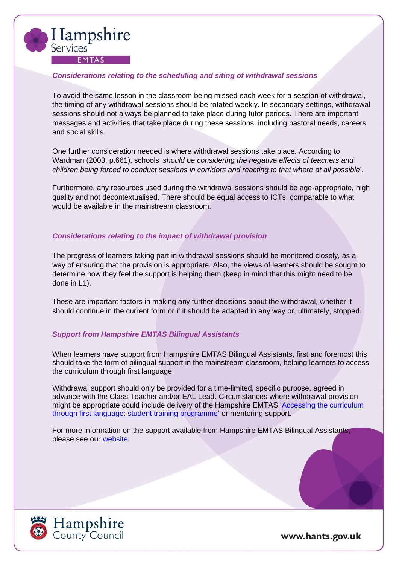

#### <span id="page-5-0"></span>*Considerations relating to the scheduling and siting of withdrawal sessions*

To avoid the same lesson in the classroom being missed each week for a session of withdrawal, the timing of any withdrawal sessions should be rotated weekly. In secondary settings, withdrawal sessions should not always be planned to take place during tutor periods. There are important messages and activities that take place during these sessions, including pastoral needs, careers and social skills.

One further consideration needed is where withdrawal sessions take place. According to Wardman (2003, p.661), schools '*should be considering the negative effects of teachers and children being forced to conduct sessions in corridors and reacting to that where at all possible*'.

Furthermore, any resources used during the withdrawal sessions should be age-appropriate, high quality and not decontextualised. There should be equal access to ICTs, comparable to what would be available in the mainstream classroom.

#### <span id="page-5-1"></span>*Considerations relating to the impact of withdrawal provision*

The progress of learners taking part in withdrawal sessions should be monitored closely, as a way of ensuring that the provision is appropriate. Also, the views of learners should be sought to determine how they feel the support is helping them (keep in mind that this might need to be done in L1).

These are important factors in making any further decisions about the withdrawal, whether it should continue in the current form or if it should be adapted in any way or, ultimately, stopped.

#### *Support from Hampshire EMTAS Bilingual Assistants*

When learners have support from Hampshire EMTAS Bilingual Assistants, first and foremost this should take the form of bilingual support in the mainstream classroom, helping learners to access the curriculum through first language.

Withdrawal support should only be provided for a time-limited, specific purpose, agreed in advance with the Class Teacher and/or EAL Lead. Circumstances where withdrawal provision might be appropriate could include delivery of the Hampshire EMTAS ['Accessing the curriculum](https://www.hants.gov.uk/educationandlearning/emtas/primary-secondary-phase/first-language)  [through first language: student training programme'](https://www.hants.gov.uk/educationandlearning/emtas/primary-secondary-phase/first-language) or mentoring support.

For more information on the support available from Hampshire EMTAS Bilingual Assistants, please see our [website.](https://www.hants.gov.uk/educationandlearning/emtas/new-referrals/assistants-schools-guide)

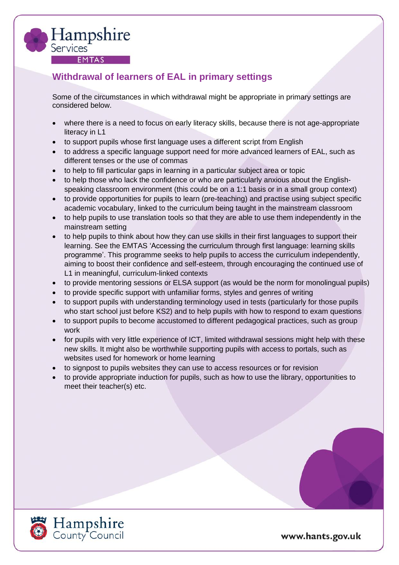

### <span id="page-6-0"></span>**Withdrawal of learners of EAL in primary settings**

Some of the circumstances in which withdrawal might be appropriate in primary settings are considered below.

- where there is a need to focus on early literacy skills, because there is not age-appropriate literacy in L1
- to support pupils whose first language uses a different script from English
- to address a specific language support need for more advanced learners of EAL, such as different tenses or the use of commas
- to help to fill particular gaps in learning in a particular subject area or topic
- to help those who lack the confidence or who are particularly anxious about the Englishspeaking classroom environment (this could be on a 1:1 basis or in a small group context)
- to provide opportunities for pupils to learn (pre-teaching) and practise using subject specific academic vocabulary, linked to the curriculum being taught in the mainstream classroom
- to help pupils to use translation tools so that they are able to use them independently in the mainstream setting
- to help pupils to think about how they can use skills in their first languages to support their learning. See the EMTAS 'Accessing the curriculum through first language: learning skills programme'. This programme seeks to help pupils to access the curriculum independently, aiming to boost their confidence and self-esteem, through encouraging the continued use of L1 in meaningful, curriculum-linked contexts
- to provide mentoring sessions or ELSA support (as would be the norm for monolingual pupils)
- to provide specific support with unfamiliar forms, styles and genres of writing
- to support pupils with understanding terminology used in tests (particularly for those pupils who start school just before KS2) and to help pupils with how to respond to exam questions
- to support pupils to become accustomed to different pedagogical practices, such as group work
- for pupils with very little experience of ICT, limited withdrawal sessions might help with these new skills. It might also be worthwhile supporting pupils with access to portals, such as websites used for homework or home learning
- to signpost to pupils websites they can use to access resources or for revision
- to provide appropriate induction for pupils, such as how to use the library, opportunities to meet their teacher(s) etc.

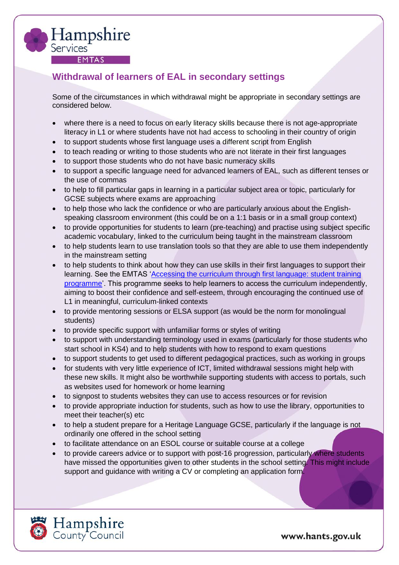<span id="page-7-0"></span>

Hampshire

**EMTAS** 

Services<sup>-</sup>

Some of the circumstances in which withdrawal might be appropriate in secondary settings are considered below.

- where there is a need to focus on early literacy skills because there is not age-appropriate literacy in L1 or where students have not had access to schooling in their country of origin
- to support students whose first language uses a different script from English
- to teach reading or writing to those students who are not literate in their first languages
- to support those students who do not have basic numeracy skills
- to support a specific language need for advanced learners of EAL, such as different tenses or the use of commas
- to help to fill particular gaps in learning in a particular subject area or topic, particularly for GCSE subjects where exams are approaching
- to help those who lack the confidence or who are particularly anxious about the Englishspeaking classroom environment (this could be on a 1:1 basis or in a small group context)
- to provide opportunities for students to learn (pre-teaching) and practise using subject specific academic vocabulary, linked to the curriculum being taught in the mainstream classroom
- to help students learn to use translation tools so that they are able to use them independently in the mainstream setting
- to help students to think about how they can use skills in their first languages to support their learning. See the EMTAS ['Accessing the curriculum through first language: student training](https://www.hants.gov.uk/educationandlearning/emtas/primary-secondary-phase/first-language)  [programme'](https://www.hants.gov.uk/educationandlearning/emtas/primary-secondary-phase/first-language). This programme seeks to help learners to access the curriculum independently, aiming to boost their confidence and self-esteem, through encouraging the continued use of L1 in meaningful, curriculum-linked contexts
- to provide mentoring sessions or ELSA support (as would be the norm for monolingual students)
- to provide specific support with unfamiliar forms or styles of writing
- to support with understanding terminology used in exams (particularly for those students who start school in KS4) and to help students with how to respond to exam questions
- to support students to get used to different pedagogical practices, such as working in groups
- for students with very little experience of ICT, limited withdrawal sessions might help with these new skills. It might also be worthwhile supporting students with access to portals, such as websites used for homework or home learning
- to signpost to students websites they can use to access resources or for revision
- to provide appropriate induction for students, such as how to use the library, opportunities to meet their teacher(s) etc
- to help a student prepare for a Heritage Language GCSE, particularly if the language is not ordinarily one offered in the school setting
- to facilitate attendance on an ESOL course or suitable course at a college
- to provide careers advice or to support with post-16 progression, particularly where students have missed the opportunities given to other students in the school setting. This might include support and guidance with writing a CV or completing an application form.

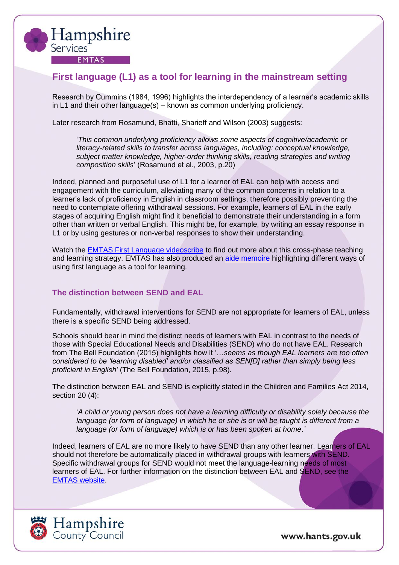

### <span id="page-8-0"></span>**First language (L1) as a tool for learning in the mainstream setting**

Research by Cummins (1984, 1996) highlights the interdependency of a learner's academic skills in L1 and their other language(s) – known as common underlying proficiency.

Later research from Rosamund, Bhatti, Sharieff and Wilson (2003) suggests:

'*This common underlying proficiency allows some aspects of cognitive/academic or literacy-related skills to transfer across languages, including: conceptual knowledge, subject matter knowledge, higher-order thinking skills, reading strategies and writing composition skills*' (Rosamund et al., 2003, p.20)

Indeed, planned and purposeful use of L1 for a learner of EAL can help with access and engagement with the curriculum, alleviating many of the common concerns in relation to a learner's lack of proficiency in English in classroom settings, therefore possibly preventing the need to contemplate offering withdrawal sessions. For example, learners of EAL in the early stages of acquiring English might find it beneficial to demonstrate their understanding in a form other than written or verbal English. This might be, for example, by writing an essay response in L1 or by using gestures or non-verbal responses to show their understanding.

Watch the [EMTAS First Language videoscribe](https://youtu.be/wSSBgt0_euk) to find out more about this cross-phase teaching and learning strategy. EMTAS has also produced an [aide memoire](https://documents.hants.gov.uk/education/emtas/firstlanguageaidememoire.pdf) highlighting different ways of using first language as a tool for learning.

#### <span id="page-8-1"></span>**The distinction between SEND and EAL**

Fundamentally, withdrawal interventions for SEND are not appropriate for learners of EAL, unless there is a specific SEND being addressed.

Schools should bear in mind the distinct needs of learners with EAL in contrast to the needs of those with Special Educational Needs and Disabilities (SEND) who do not have EAL. Research from The Bell Foundation (2015) highlights how it '…*seems as though EAL learners are too often considered to be 'learning disabled' and/or classified as SEN[D] rather than simply being less proficient in English'* (The Bell Foundation, 2015, p.98).

The distinction between EAL and SEND is explicitly stated in the Children and Families Act 2014, section 20 (4):

'*A child or young person does not have a learning difficulty or disability solely because the*  language (or form of language) in which he or she is or will be taught is different from a *language (or form of language) which is or has been spoken at home*.*'*

Indeed, learners of EAL are no more likely to have SEND than any other learner. Learners of EAL should not therefore be automatically placed in withdrawal groups with learners with SEND. Specific withdrawal groups for SEND would not meet the language-learning needs of most learners of EAL. For further information on the distinction between EAL and SEND, see the [EMTAS website.](https://www.hants.gov.uk/educationandlearning/emtas/assessment-and-send/send-bilingual-guide)

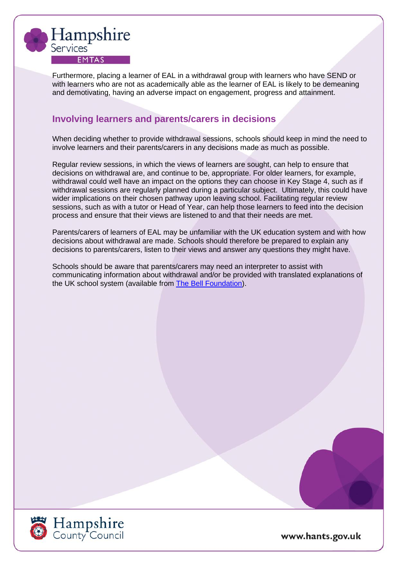

Furthermore, placing a learner of EAL in a withdrawal group with learners who have SEND or with learners who are not as academically able as the learner of EAL is likely to be demeaning and demotivating, having an adverse impact on engagement, progress and attainment.

### <span id="page-9-0"></span>**Involving learners and parents/carers in decisions**

When deciding whether to provide withdrawal sessions, schools should keep in mind the need to involve learners and their parents/carers in any decisions made as much as possible.

Regular review sessions, in which the views of learners are sought, can help to ensure that decisions on withdrawal are, and continue to be, appropriate. For older learners, for example, withdrawal could well have an impact on the options they can choose in Key Stage 4, such as if withdrawal sessions are regularly planned during a particular subject. Ultimately, this could have wider implications on their chosen pathway upon leaving school. Facilitating regular review sessions, such as with a tutor or Head of Year, can help those learners to feed into the decision process and ensure that their views are listened to and that their needs are met.

Parents/carers of learners of EAL may be unfamiliar with the UK education system and with how decisions about withdrawal are made. Schools should therefore be prepared to explain any decisions to parents/carers, listen to their views and answer any questions they might have.

Schools should be aware that parents/carers may need an interpreter to assist with communicating information about withdrawal and/or be provided with translated explanations of the UK school system (available from [The Bell Foundation\)](https://www.bell-foundation.org.uk/eal-programme/guidance/parental-involvement/).

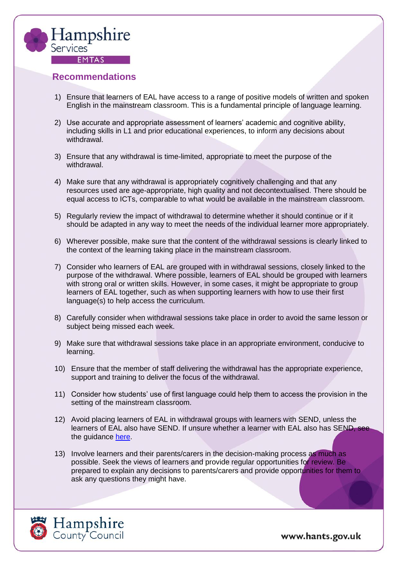

### <span id="page-10-0"></span>**Recommendations**

- 1) Ensure that learners of EAL have access to a range of positive models of written and spoken English in the mainstream classroom. This is a fundamental principle of language learning.
- 2) Use accurate and appropriate assessment of learners' academic and cognitive ability, including skills in L1 and prior educational experiences, to inform any decisions about withdrawal.
- 3) Ensure that any withdrawal is time-limited, appropriate to meet the purpose of the withdrawal.
- 4) Make sure that any withdrawal is appropriately cognitively challenging and that any resources used are age-appropriate, high quality and not decontextualised. There should be equal access to ICTs, comparable to what would be available in the mainstream classroom.
- 5) Regularly review the impact of withdrawal to determine whether it should continue or if it should be adapted in any way to meet the needs of the individual learner more appropriately.
- 6) Wherever possible, make sure that the content of the withdrawal sessions is clearly linked to the context of the learning taking place in the mainstream classroom.
- 7) Consider who learners of EAL are grouped with in withdrawal sessions, closely linked to the purpose of the withdrawal. Where possible, learners of EAL should be grouped with learners with strong oral or written skills. However, in some cases, it might be appropriate to group learners of EAL together, such as when supporting learners with how to use their first language(s) to help access the curriculum.
- 8) Carefully consider when withdrawal sessions take place in order to avoid the same lesson or subject being missed each week.
- 9) Make sure that withdrawal sessions take place in an appropriate environment, conducive to learning.
- 10) Ensure that the member of staff delivering the withdrawal has the appropriate experience, support and training to deliver the focus of the withdrawal.
- 11) Consider how students' use of first language could help them to access the provision in the setting of the mainstream classroom.
- 12) Avoid placing learners of EAL in withdrawal groups with learners with SEND, unless the learners of EAL also have SEND. If unsure whether a learner with EAL also has SEND, see the guidance [here.](https://www.hants.gov.uk/educationandlearning/emtas/assessment-and-send/send-bilingual-guide)
- 13) Involve learners and their parents/carers in the decision-making process as much as possible. Seek the views of learners and provide regular opportunities for review. Be prepared to explain any decisions to parents/carers and provide opportunities for them to ask any questions they might have.

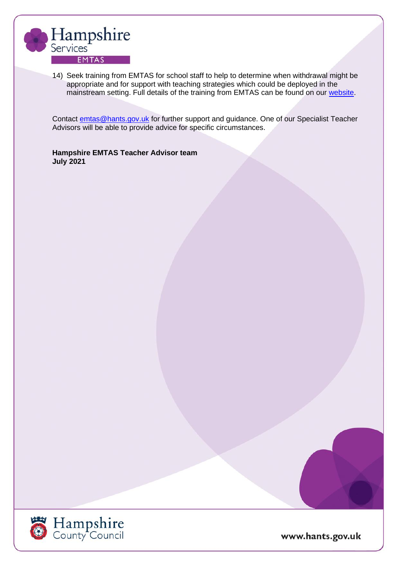

14) Seek training from EMTAS for school staff to help to determine when withdrawal might be appropriate and for support with teaching strategies which could be deployed in the mainstream setting. Full details of the training from EMTAS can be found on our [website.](https://www.hants.gov.uk/educationandlearning/emtas/training)

Contact [emtas@hants.gov.uk](mailto:emtas@hants.gov.uk) for further support and guidance. One of our Specialist Teacher Advisors will be able to provide advice for specific circumstances.

**Hampshire EMTAS Teacher Advisor team July 2021**